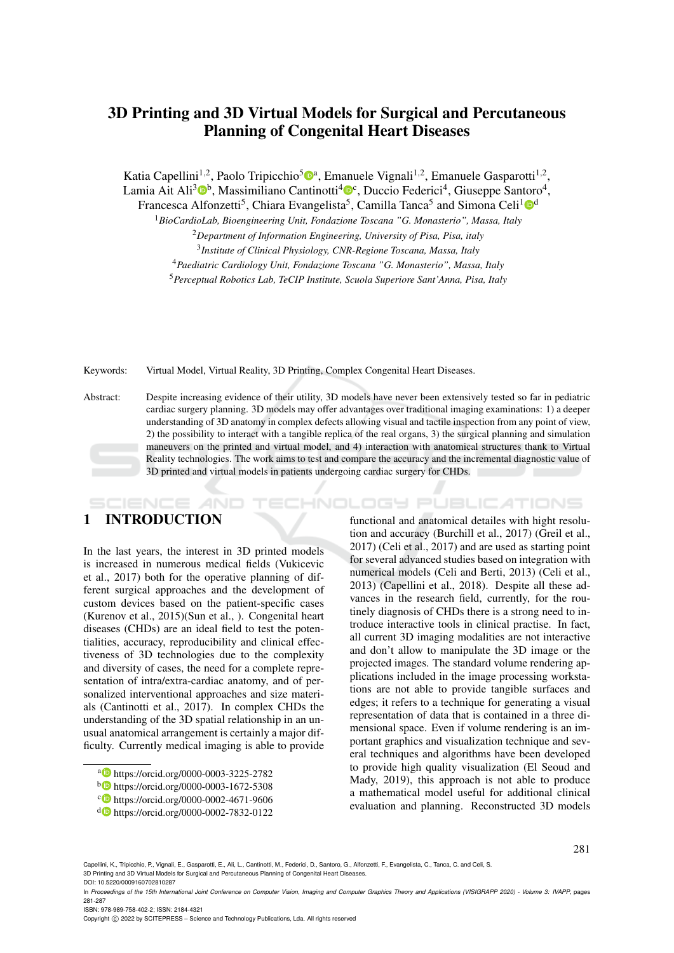# 3D Printing and 3D Virtual Models for Surgical and Percutaneous Planning of Congenital Heart Diseases

Katia Capellini<sup>1,2</sup>, Paolo Tripicchio<sup>5</sup><sup>®</sup>ª, Emanuele Vignali<sup>1,2</sup>, Emanuele Gasparotti<sup>1,2</sup>,

Lamia Ait Ali<sup>3</sup><sup>®</sup>, Massimiliano Cantinotti<sup>4®</sup>, Duccio Federici<sup>4</sup>, Giuseppe Santoro<sup>4</sup>,

Francesca Alfonzetti<sup>5</sup>, Chiara Evangelista<sup>5</sup>, Camilla Tanca<sup>5</sup> and Simona Celi<sup>1</sup>O<sup>d</sup>

<sup>1</sup>*BioCardioLab, Bioengineering Unit, Fondazione Toscana "G. Monasterio", Massa, Italy*

<sup>4</sup>*Paediatric Cardiology Unit, Fondazione Toscana "G. Monasterio", Massa, Italy*

<sup>5</sup>*Perceptual Robotics Lab, TeCIP Institute, Scuola Superiore Sant'Anna, Pisa, Italy*

Keywords: Virtual Model, Virtual Reality, 3D Printing, Complex Congenital Heart Diseases.

Abstract: Despite increasing evidence of their utility, 3D models have never been extensively tested so far in pediatric cardiac surgery planning. 3D models may offer advantages over traditional imaging examinations: 1) a deeper understanding of 3D anatomy in complex defects allowing visual and tactile inspection from any point of view, 2) the possibility to interact with a tangible replica of the real organs, 3) the surgical planning and simulation maneuvers on the printed and virtual model, and 4) interaction with anatomical structures thank to Virtual Reality technologies. The work aims to test and compare the accuracy and the incremental diagnostic value of 3D printed and virtual models in patients undergoing cardiac surgery for CHDs.

# 1 INTRODUCTION

**CIENCE** *A***ND** 

In the last years, the interest in 3D printed models is increased in numerous medical fields (Vukicevic et al., 2017) both for the operative planning of different surgical approaches and the development of custom devices based on the patient-specific cases (Kurenov et al., 2015)(Sun et al., ). Congenital heart diseases (CHDs) are an ideal field to test the potentialities, accuracy, reproducibility and clinical effectiveness of 3D technologies due to the complexity and diversity of cases, the need for a complete representation of intra/extra-cardiac anatomy, and of personalized interventional approaches and size materials (Cantinotti et al., 2017). In complex CHDs the understanding of the 3D spatial relationship in an unusual anatomical arrangement is certainly a major difficulty. Currently medical imaging is able to provide

functional and anatomical detailes with hight resolution and accuracy (Burchill et al., 2017) (Greil et al., 2017) (Celi et al., 2017) and are used as starting point for several advanced studies based on integration with numerical models (Celi and Berti, 2013) (Celi et al., 2013) (Capellini et al., 2018). Despite all these advances in the research field, currently, for the routinely diagnosis of CHDs there is a strong need to introduce interactive tools in clinical practise. In fact, all current 3D imaging modalities are not interactive and don't allow to manipulate the 3D image or the projected images. The standard volume rendering applications included in the image processing workstations are not able to provide tangible surfaces and edges; it refers to a technique for generating a visual representation of data that is contained in a three dimensional space. Even if volume rendering is an important graphics and visualization technique and several techniques and algorithms have been developed to provide high quality visualization (El Seoud and Mady, 2019), this approach is not able to produce a mathematical model useful for additional clinical evaluation and planning. Reconstructed 3D models

HNOLOGY PUBLICATIONS

Capellini, K., Tripicchio, P., Vignali, E., Gasparotti, E., Ali, L., Cantinotti, M., Federici, D., Santoro, G., Alfonzetti, F., Evangelista, C., Tanca, C. and Celi, S. 3D Printing and 3D Virtual Models for Surgical and Percutaneous Planning of Congenital Heart Diseases. DOI: 10.5220/0009160702810287

ISBN: 978-989-758-402-2; ISSN: 2184-4321

Copyright © 2022 by SCITEPRESS - Science and Technology Publications, Lda. All rights reserved

<sup>2</sup>*Department of Information Engineering, University of Pisa, Pisa, italy*

<sup>3</sup> *Institute of Clinical Physiology, CNR-Regione Toscana, Massa, Italy*

a https://orcid.org/0000-0003-3225-2782

<sup>b</sup> https://orcid.org/0000-0003-1672-5308

<sup>c</sup> https://orcid.org/0000-0002-4671-9606

<sup>d</sup> https://orcid.org/0000-0002-7832-0122

In *Proceedings of the 15th International Joint Conference on Computer Vision, Imaging and Computer Graphics Theory and Applications (VISIGRAPP 2020) - Volume 3: IVAPP*, pages 281-287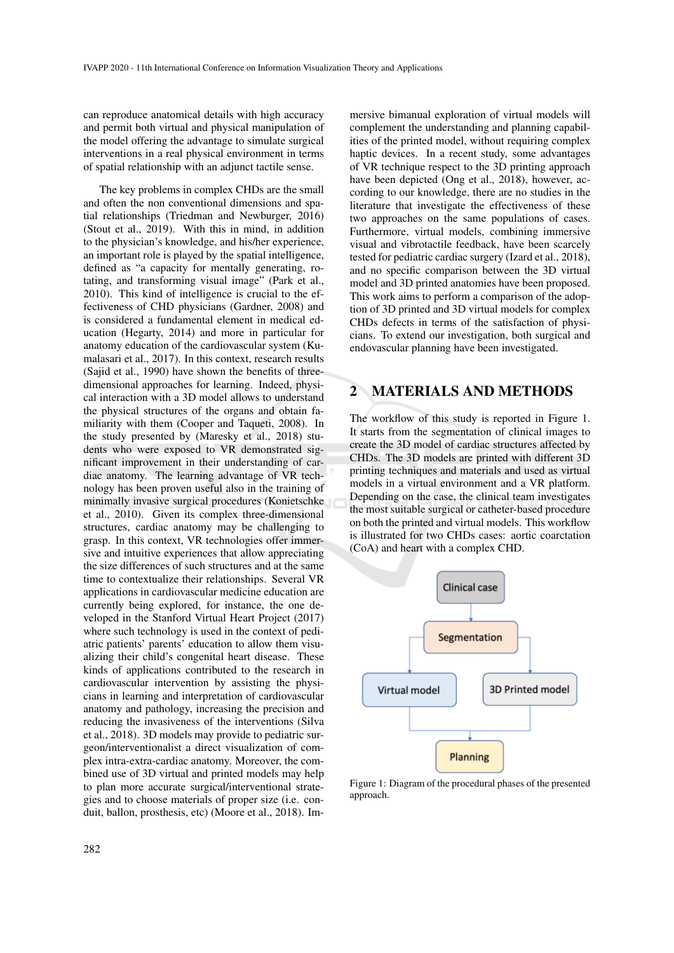can reproduce anatomical details with high accuracy and permit both virtual and physical manipulation of the model offering the advantage to simulate surgical interventions in a real physical environment in terms of spatial relationship with an adjunct tactile sense.

The key problems in complex CHDs are the small and often the non conventional dimensions and spatial relationships (Triedman and Newburger, 2016) (Stout et al., 2019). With this in mind, in addition to the physician's knowledge, and his/her experience, an important role is played by the spatial intelligence, defined as "a capacity for mentally generating, rotating, and transforming visual image" (Park et al., 2010). This kind of intelligence is crucial to the effectiveness of CHD physicians (Gardner, 2008) and is considered a fundamental element in medical education (Hegarty, 2014) and more in particular for anatomy education of the cardiovascular system (Kumalasari et al., 2017). In this context, research results (Sajid et al., 1990) have shown the benefits of threedimensional approaches for learning. Indeed, physical interaction with a 3D model allows to understand the physical structures of the organs and obtain familiarity with them (Cooper and Taqueti, 2008). In the study presented by (Maresky et al., 2018) students who were exposed to VR demonstrated significant improvement in their understanding of cardiac anatomy. The learning advantage of VR technology has been proven useful also in the training of minimally invasive surgical procedures (Konietschke et al., 2010). Given its complex three-dimensional structures, cardiac anatomy may be challenging to grasp. In this context, VR technologies offer immersive and intuitive experiences that allow appreciating the size differences of such structures and at the same time to contextualize their relationships. Several VR applications in cardiovascular medicine education are currently being explored, for instance, the one developed in the Stanford Virtual Heart Project (2017) where such technology is used in the context of pediatric patients' parents' education to allow them visualizing their child's congenital heart disease. These kinds of applications contributed to the research in cardiovascular intervention by assisting the physicians in learning and interpretation of cardiovascular anatomy and pathology, increasing the precision and reducing the invasiveness of the interventions (Silva et al., 2018). 3D models may provide to pediatric surgeon/interventionalist a direct visualization of complex intra-extra-cardiac anatomy. Moreover, the combined use of 3D virtual and printed models may help to plan more accurate surgical/interventional strategies and to choose materials of proper size (i.e. conduit, ballon, prosthesis, etc) (Moore et al., 2018). Immersive bimanual exploration of virtual models will complement the understanding and planning capabilities of the printed model, without requiring complex haptic devices. In a recent study, some advantages of VR technique respect to the 3D printing approach have been depicted (Ong et al., 2018), however, according to our knowledge, there are no studies in the literature that investigate the effectiveness of these two approaches on the same populations of cases. Furthermore, virtual models, combining immersive visual and vibrotactile feedback, have been scarcely tested for pediatric cardiac surgery (Izard et al., 2018), and no specific comparison between the 3D virtual model and 3D printed anatomies have been proposed. This work aims to perform a comparison of the adoption of 3D printed and 3D virtual models for complex CHDs defects in terms of the satisfaction of physicians. To extend our investigation, both surgical and endovascular planning have been investigated.

## 2 MATERIALS AND METHODS

The workflow of this study is reported in Figure 1. It starts from the segmentation of clinical images to create the 3D model of cardiac structures affected by CHDs. The 3D models are printed with different 3D printing techniques and materials and used as virtual models in a virtual environment and a VR platform. Depending on the case, the clinical team investigates the most suitable surgical or catheter-based procedure on both the printed and virtual models. This workflow is illustrated for two CHDs cases: aortic coarctation (CoA) and heart with a complex CHD.



Figure 1: Diagram of the procedural phases of the presented approach.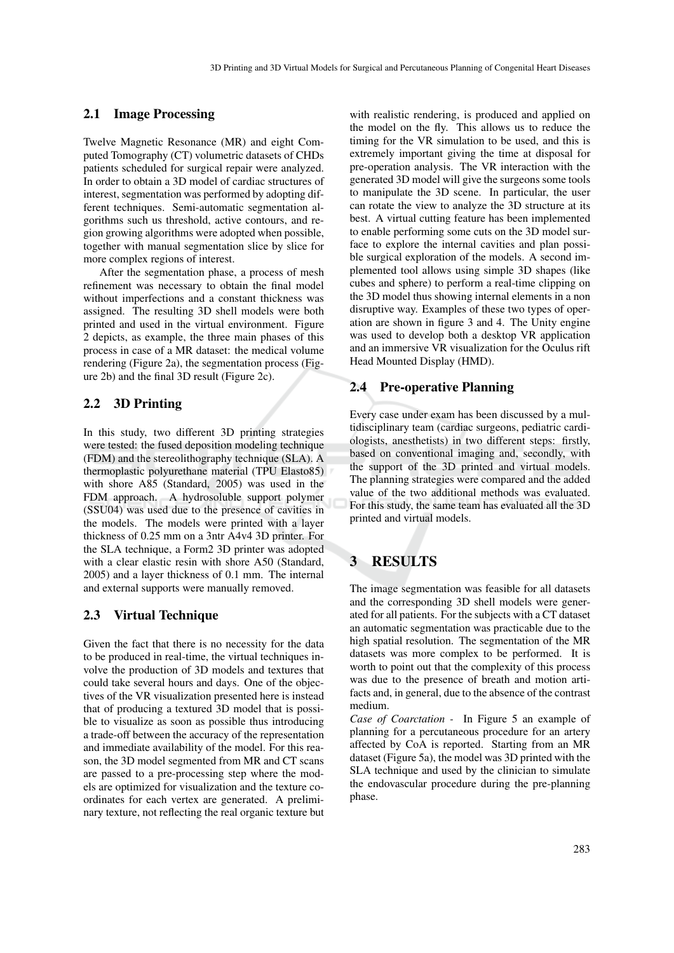### 2.1 Image Processing

Twelve Magnetic Resonance (MR) and eight Computed Tomography (CT) volumetric datasets of CHDs patients scheduled for surgical repair were analyzed. In order to obtain a 3D model of cardiac structures of interest, segmentation was performed by adopting different techniques. Semi-automatic segmentation algorithms such us threshold, active contours, and region growing algorithms were adopted when possible, together with manual segmentation slice by slice for more complex regions of interest.

After the segmentation phase, a process of mesh refinement was necessary to obtain the final model without imperfections and a constant thickness was assigned. The resulting 3D shell models were both printed and used in the virtual environment. Figure 2 depicts, as example, the three main phases of this process in case of a MR dataset: the medical volume rendering (Figure 2a), the segmentation process (Figure 2b) and the final 3D result (Figure 2c).

#### 2.2 3D Printing

In this study, two different 3D printing strategies were tested: the fused deposition modeling technique (FDM) and the stereolithography technique (SLA). A thermoplastic polyurethane material (TPU Elasto85) with shore A85 (Standard, 2005) was used in the FDM approach. A hydrosoluble support polymer (SSU04) was used due to the presence of cavities in the models. The models were printed with a layer thickness of 0.25 mm on a 3ntr A4v4 3D printer. For the SLA technique, a Form2 3D printer was adopted with a clear elastic resin with shore A50 (Standard, 2005) and a layer thickness of 0.1 mm. The internal and external supports were manually removed.

### 2.3 Virtual Technique

Given the fact that there is no necessity for the data to be produced in real-time, the virtual techniques involve the production of 3D models and textures that could take several hours and days. One of the objectives of the VR visualization presented here is instead that of producing a textured 3D model that is possible to visualize as soon as possible thus introducing a trade-off between the accuracy of the representation and immediate availability of the model. For this reason, the 3D model segmented from MR and CT scans are passed to a pre-processing step where the models are optimized for visualization and the texture coordinates for each vertex are generated. A preliminary texture, not reflecting the real organic texture but

with realistic rendering, is produced and applied on the model on the fly. This allows us to reduce the timing for the VR simulation to be used, and this is extremely important giving the time at disposal for pre-operation analysis. The VR interaction with the generated 3D model will give the surgeons some tools to manipulate the 3D scene. In particular, the user can rotate the view to analyze the 3D structure at its best. A virtual cutting feature has been implemented to enable performing some cuts on the 3D model surface to explore the internal cavities and plan possible surgical exploration of the models. A second implemented tool allows using simple 3D shapes (like cubes and sphere) to perform a real-time clipping on the 3D model thus showing internal elements in a non disruptive way. Examples of these two types of operation are shown in figure 3 and 4. The Unity engine was used to develop both a desktop VR application and an immersive VR visualization for the Oculus rift Head Mounted Display (HMD).

#### 2.4 Pre-operative Planning

Every case under exam has been discussed by a multidisciplinary team (cardiac surgeons, pediatric cardiologists, anesthetists) in two different steps: firstly, based on conventional imaging and, secondly, with the support of the 3D printed and virtual models. The planning strategies were compared and the added value of the two additional methods was evaluated. For this study, the same team has evaluated all the 3D printed and virtual models.

## 3 RESULTS

The image segmentation was feasible for all datasets and the corresponding 3D shell models were generated for all patients. For the subjects with a CT dataset an automatic segmentation was practicable due to the high spatial resolution. The segmentation of the MR datasets was more complex to be performed. It is worth to point out that the complexity of this process was due to the presence of breath and motion artifacts and, in general, due to the absence of the contrast medium.

*Case of Coarctation -* In Figure 5 an example of planning for a percutaneous procedure for an artery affected by CoA is reported. Starting from an MR dataset (Figure 5a), the model was 3D printed with the SLA technique and used by the clinician to simulate the endovascular procedure during the pre-planning phase.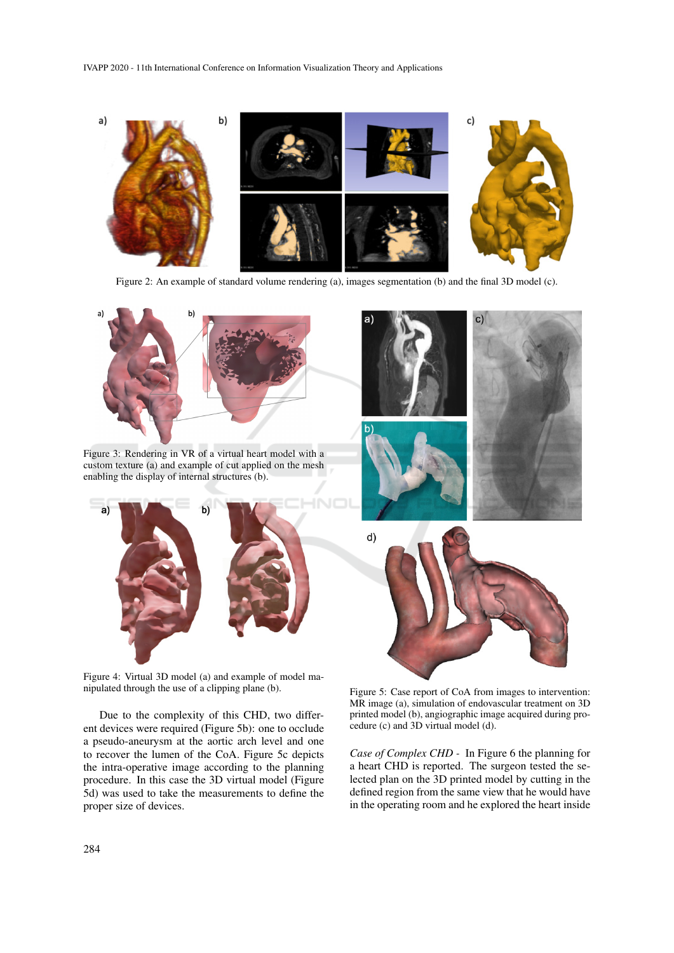

Figure 2: An example of standard volume rendering (a), images segmentation (b) and the final 3D model (c).



Figure 3: Rendering in VR of a virtual heart model with a custom texture (a) and example of cut applied on the mesh enabling the display of internal structures (b).



Figure 4: Virtual 3D model (a) and example of model manipulated through the use of a clipping plane (b).

Due to the complexity of this CHD, two different devices were required (Figure 5b): one to occlude a pseudo-aneurysm at the aortic arch level and one to recover the lumen of the CoA. Figure 5c depicts the intra-operative image according to the planning procedure. In this case the 3D virtual model (Figure 5d) was used to take the measurements to define the proper size of devices.



Figure 5: Case report of CoA from images to intervention: MR image (a), simulation of endovascular treatment on 3D printed model (b), angiographic image acquired during procedure (c) and 3D virtual model (d).

*Case of Complex CHD -* In Figure 6 the planning for a heart CHD is reported. The surgeon tested the selected plan on the 3D printed model by cutting in the defined region from the same view that he would have in the operating room and he explored the heart inside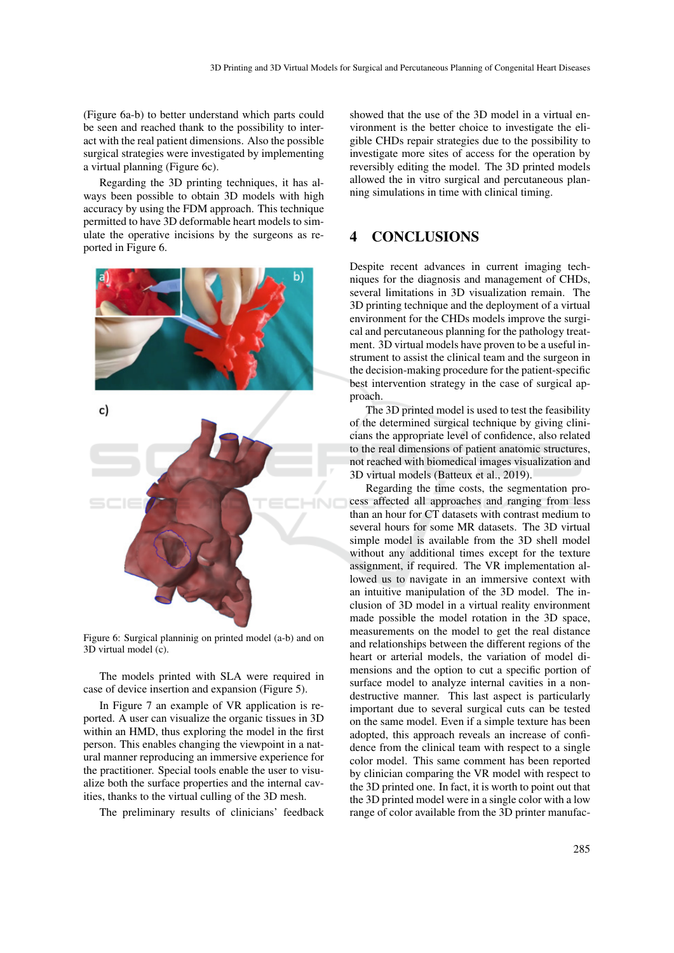(Figure 6a-b) to better understand which parts could be seen and reached thank to the possibility to interact with the real patient dimensions. Also the possible surgical strategies were investigated by implementing a virtual planning (Figure 6c).

Regarding the 3D printing techniques, it has always been possible to obtain 3D models with high accuracy by using the FDM approach. This technique permitted to have 3D deformable heart models to simulate the operative incisions by the surgeons as reported in Figure 6.





Figure 6: Surgical planninig on printed model (a-b) and on 3D virtual model (c).

The models printed with SLA were required in case of device insertion and expansion (Figure 5).

In Figure 7 an example of VR application is reported. A user can visualize the organic tissues in 3D within an HMD, thus exploring the model in the first person. This enables changing the viewpoint in a natural manner reproducing an immersive experience for the practitioner. Special tools enable the user to visualize both the surface properties and the internal cavities, thanks to the virtual culling of the 3D mesh.

The preliminary results of clinicians' feedback

showed that the use of the 3D model in a virtual environment is the better choice to investigate the eligible CHDs repair strategies due to the possibility to investigate more sites of access for the operation by reversibly editing the model. The 3D printed models allowed the in vitro surgical and percutaneous planning simulations in time with clinical timing.

## 4 CONCLUSIONS

Despite recent advances in current imaging techniques for the diagnosis and management of CHDs, several limitations in 3D visualization remain. The 3D printing technique and the deployment of a virtual environment for the CHDs models improve the surgical and percutaneous planning for the pathology treatment. 3D virtual models have proven to be a useful instrument to assist the clinical team and the surgeon in the decision-making procedure for the patient-specific best intervention strategy in the case of surgical approach.

The 3D printed model is used to test the feasibility of the determined surgical technique by giving clinicians the appropriate level of confidence, also related to the real dimensions of patient anatomic structures, not reached with biomedical images visualization and 3D virtual models (Batteux et al., 2019).

Regarding the time costs, the segmentation process affected all approaches and ranging from less than an hour for CT datasets with contrast medium to several hours for some MR datasets. The 3D virtual simple model is available from the 3D shell model without any additional times except for the texture assignment, if required. The VR implementation allowed us to navigate in an immersive context with an intuitive manipulation of the 3D model. The inclusion of 3D model in a virtual reality environment made possible the model rotation in the 3D space, measurements on the model to get the real distance and relationships between the different regions of the heart or arterial models, the variation of model dimensions and the option to cut a specific portion of surface model to analyze internal cavities in a nondestructive manner. This last aspect is particularly important due to several surgical cuts can be tested on the same model. Even if a simple texture has been adopted, this approach reveals an increase of confidence from the clinical team with respect to a single color model. This same comment has been reported by clinician comparing the VR model with respect to the 3D printed one. In fact, it is worth to point out that the 3D printed model were in a single color with a low range of color available from the 3D printer manufac-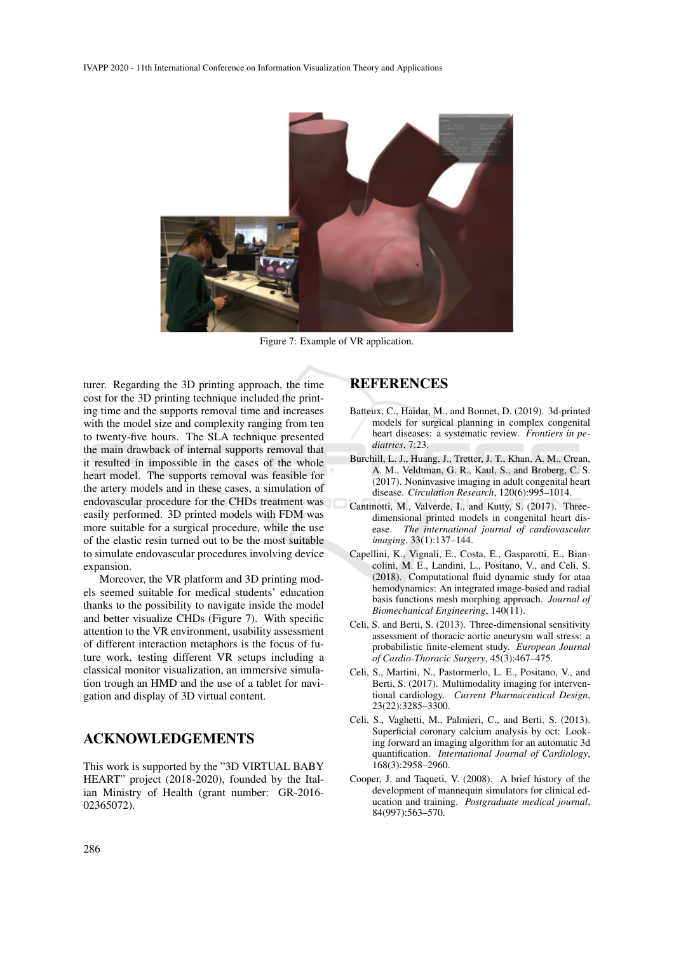

Figure 7: Example of VR application.

turer. Regarding the 3D printing approach, the time cost for the 3D printing technique included the printing time and the supports removal time and increases with the model size and complexity ranging from ten to twenty-five hours. The SLA technique presented the main drawback of internal supports removal that it resulted in impossible in the cases of the whole heart model. The supports removal was feasible for the artery models and in these cases, a simulation of endovascular procedure for the CHDs treatment was easily performed. 3D printed models with FDM was more suitable for a surgical procedure, while the use of the elastic resin turned out to be the most suitable to simulate endovascular procedures involving device expansion.

Moreover, the VR platform and 3D printing models seemed suitable for medical students' education thanks to the possibility to navigate inside the model and better visualize CHDs (Figure 7). With specific attention to the VR environment, usability assessment of different interaction metaphors is the focus of future work, testing different VR setups including a classical monitor visualization, an immersive simulation trough an HMD and the use of a tablet for navigation and display of 3D virtual content.

## ACKNOWLEDGEMENTS

This work is supported by the "3D VIRTUAL BABY HEART" project (2018-2020), founded by the Italian Ministry of Health (grant number: GR-2016- 02365072).

### **REFERENCES**

- Batteux, C., Haidar, M., and Bonnet, D. (2019). 3d-printed models for surgical planning in complex congenital heart diseases: a systematic review. *Frontiers in pediatrics*, 7:23.
- Burchill, L. J., Huang, J., Tretter, J. T., Khan, A. M., Crean, A. M., Veldtman, G. R., Kaul, S., and Broberg, C. S. (2017). Noninvasive imaging in adult congenital heart disease. *Circulation Research*, 120(6):995–1014.
- Cantinotti, M., Valverde, I., and Kutty, S. (2017). Threedimensional printed models in congenital heart disease. *The international journal of cardiovascular imaging*, 33(1):137–144.
- Capellini, K., Vignali, E., Costa, E., Gasparotti, E., Biancolini, M. E., Landini, L., Positano, V., and Celi, S. (2018). Computational fluid dynamic study for ataa hemodynamics: An integrated image-based and radial basis functions mesh morphing approach. *Journal of Biomechanical Engineering*, 140(11).
- Celi, S. and Berti, S. (2013). Three-dimensional sensitivity assessment of thoracic aortic aneurysm wall stress: a probabilistic finite-element study. *European Journal of Cardio-Thoracic Surgery*, 45(3):467–475.
- Celi, S., Martini, N., Pastormerlo, L. E., Positano, V., and Berti, S. (2017). Multimodality imaging for interventional cardiology. *Current Pharmaceutical Design*, 23(22):3285–3300.
- Celi, S., Vaghetti, M., Palmieri, C., and Berti, S. (2013). Superficial coronary calcium analysis by oct: Looking forward an imaging algorithm for an automatic 3d quantification. *International Journal of Cardiology*, 168(3):2958–2960.
- Cooper, J. and Taqueti, V. (2008). A brief history of the development of mannequin simulators for clinical education and training. *Postgraduate medical journal*, 84(997):563–570.